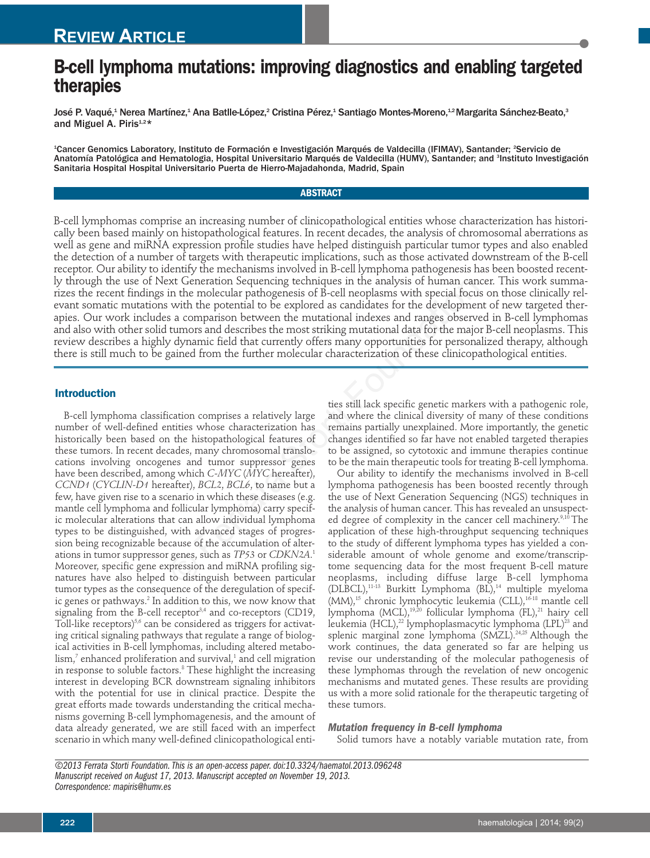# **REVIEW ARTICLE**

## **B-cell lymphoma mutations: improving diagnostics and enabling targeted therapies**

José P. Vaqué,<sup>1</sup> Nerea Martínez,<sup>1</sup> Ana Batlle-López,<sup>2</sup> Cristina Pérez,<sup>1</sup> Santiago Montes-Moreno,<sup>12</sup> Margarita Sánchez-Beato,<sup>3</sup> and Miguel A. Piris<sup>1,2\*</sup>

<del>'</del>Cancer Genomics Laboratory, Instituto de Formación e Investigación Marqués de Valdecilla (IFIMAV), Santander; <del>'</del>Servicio de Anatomía Patológica and Hematologia, Hospital Universitario Marqués de Valdecilla (HUMV), Santander; and <sup>3</sup>Instituto Investigación Sanitaria Hospital Hospital Universitario Puerta de Hierro-Majadahonda, Madrid, Spain

## **ABSTRACT**

B-cell lymphomas comprise an increasing number of clinicopathological entities whose characterization has historically been based mainly on histopathological features. In recent decades, the analysis of chromosomal aberrations as well as gene and miRNA expression profile studies have helped distinguish particular tumor types and also enabled the detection of a number of targets with therapeutic implications, such as those activated downstream of the B-cell receptor. Our ability to identify the mechanisms involved in B-cell lymphoma pathogenesis has been boosted recently through the use of Next Generation Sequencing techniques in the analysis of human cancer. This work summarizes the recent findings in the molecular pathogenesis of B-cell neoplasms with special focus on those clinically relevant somatic mutations with the potential to be explored as candidates for the development of new targeted therapies. Our work includes a comparison between the mutational indexes and ranges observed in B-cell lymphomas and also with other solid tumors and describes the most striking mutational data for the major B-cell neoplasms. This review describes a highly dynamic field that currently offers many opportunities for personalized therapy, although there is still much to be gained from the further molecular characterization of these clinicopathological entities.

## **Introduction**

B-cell lymphoma classification comprises a relatively large number of well-defined entities whose characterization has historically been based on the histopathological features of these tumors. In recent decades, many chromosomal translocations involving oncogenes and tumor suppressor genes have been described, among which *C-MYC* (*MYC* hereafter), *CCND1* (*CYCLIN-D1* hereafter), *BCL2*, *BCL6*, to name but a few, have given rise to a scenario in which these diseases (e.g. mantle cell lymphoma and follicular lymphoma) carry specific molecular alterations that can allow individual lymphoma types to be distinguished, with advanced stages of progression being recognizable because of the accumulation of alterations in tumor suppressor genes, such as *TP53* or *CDKN2A*. 1 Moreover, specific gene expression and miRNA profiling signatures have also helped to distinguish between particular tumor types as the consequence of the deregulation of specific genes or pathways.<sup>2</sup> In addition to this, we now know that signaling from the B-cell receptor $3,4$  and co-receptors (CD19, Toll-like receptors) $5,6$  can be considered as triggers for activating critical signaling pathways that regulate a range of biological activities in B-cell lymphomas, including altered metabo- $\lim,7$  enhanced proliferation and survival,1 and cell migration in response to soluble factors.<sup>8</sup> These highlight the increasing interest in developing BCR downstream signaling inhibitors with the potential for use in clinical practice. Despite the great efforts made towards understanding the critical mechanisms governing B-cell lymphomagenesis, and the amount of data already generated, we are still faced with an imperfect scenario in which many well-defined clinicopathological entixxt Generation Sequencing techniques in the analysis of human cand<br>in the molecular pathogeness of B-cell neoplasms with special focus<br>in with the potential to be explored as candidates for the developmer<br>s a comparison b

ties still lack specific genetic markers with a pathogenic role, and where the clinical diversity of many of these conditions remains partially unexplained. More importantly, the genetic changes identified so far have not enabled targeted therapies to be assigned, so cytotoxic and immune therapies continue to be the main therapeutic tools for treating B-cell lymphoma.

Our ability to identify the mechanisms involved in B-cell lymphoma pathogenesis has been boosted recently through the use of Next Generation Sequencing (NGS) techniques in the analysis of human cancer. This has revealed an unsuspected degree of complexity in the cancer cell machinery.<sup>9,10</sup> The application of these high-throughput sequencing techniques to the study of different lymphoma types has yielded a considerable amount of whole genome and exome/transcriptome sequencing data for the most frequent B-cell mature neoplasms, including diffuse large B-cell lymphoma (DLBCL),11-13 Burkitt Lymphoma (BL),14 multiple myeloma (MM),<sup>15</sup> chronic lymphocytic leukemia (CLL),<sup>16-18</sup> mantle cell lymphoma (MCL), $^{\rm 19,20}$  follicular lymphoma (FL), $^{\rm 21}$  hairy cell leukemia (HCL),<sup>22</sup> lymphoplasmacytic lymphoma (LPL)<sup>23</sup> and splenic marginal zone lymphoma (SMZL).<sup>24,25</sup> Although the work continues, the data generated so far are helping us revise our understanding of the molecular pathogenesis of these lymphomas through the revelation of new oncogenic mechanisms and mutated genes. These results are providing us with a more solid rationale for the therapeutic targeting of these tumors.

## *Mutation frequency in B-cell lymphoma*

Solid tumors have a notably variable mutation rate, from

*©2013 Ferrata Storti Foundation. This is an open-access paper. doi:10.3324/haematol.2013.096248 Manuscript received on August 17, 2013. Manuscript accepted on November 19, 2013. Correspondence: mapiris@humv.es*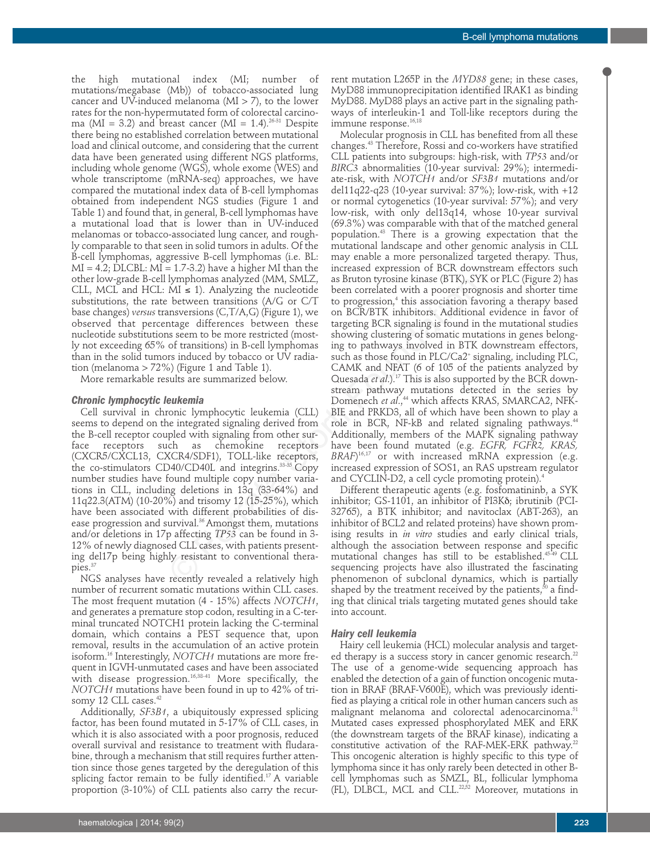the high mutational index (MI; number of mutations/megabase (Mb)) of tobacco-associated lung cancer and UV-induced melanoma ( $MI > 7$ ), to the lower rates for the non-hypermutated form of colorectal carcinoma (MI = 3.2) and breast cancer (MI = 1.4).<sup>26.31</sup> Despite there being no established correlation between mutational load and clinical outcome, and considering that the current data have been generated using different NGS platforms, including whole genome (WGS), whole exome (WES) and whole transcriptome (mRNA-seq) approaches, we have compared the mutational index data of B-cell lymphomas obtained from independent NGS studies (Figure 1 and Table 1) and found that, in general, B-cell lymphomas have a mutational load that is lower than in UV-induced melanomas or tobacco-associated lung cancer, and roughly comparable to that seen in solid tumors in adults. Of the B-cell lymphomas, aggressive B-cell lymphomas (i.e. BL:  $MI = 4.2$ ; DLCBL:  $MI = 1.7-3.2$ ) have a higher MI than the other low-grade B-cell lymphomas analyzed (MM, SMLZ, CLL, MCL and HCL:  $MI \leq 1$ ). Analyzing the nucleotide substitutions, the rate between transitions (A/G or C/T base changes) *versus* transversions (C,T/A,G) (Figure 1), we observed that percentage differences between these nucleotide substitutions seem to be more restricted (mostly not exceeding 65% of transitions) in B-cell lymphomas than in the solid tumors induced by tobacco or UV radiation (melanoma > 72%) (Figure 1 and Table 1).

More remarkable results are summarized below.

#### *Chronic lymphocytic leukemia*

Cell survival in chronic lymphocytic leukemia (CLL) seems to depend on the integrated signaling derived from the B-cell receptor coupled with signaling from other sur-<br>face receptors such as chemokine receptors face receptors such as chemokine receptors (CXCR5/CXCL13, CXCR4/SDF1), TOLL-like receptors, the co-stimulators CD40/CD40L and integrins.<sup>33-35</sup> Copy number studies have found multiple copy number variations in CLL, including deletions in 13q (33-64%) and 11q22.3(ATM) (10-20%) and trisomy 12 (15-25%), which have been associated with different probabilities of disease progression and survival.<sup>36</sup> Amongst them, mutations and/or deletions in 17p affecting *TP53* can be found in 3- 12% of newly diagnosed CLL cases, with patients presenting del17p being highly resistant to conventional therapies.<sup>37</sup>

NGS analyses have recently revealed a relatively high number of recurrent somatic mutations within CLL cases. The most frequent mutation (4 - 15%) affects *NOTCH1*, and generates a premature stop codon, resulting in a C-terminal truncated NOTCH1 protein lacking the C-terminal domain, which contains a PEST sequence that, upon removal, results in the accumulation of an active protein isoform.16 Interestingly, *NOTCH1* mutations are more frequent in IGVH-unmutated cases and have been associated with disease progression.16,38-41 More specifically, the *NOTCH1* mutations have been found in up to 42% of trisomy 12 CLL cases.<sup>42</sup>

Additionally, *SF3B1*, a ubiquitously expressed splicing factor, has been found mutated in 5-17% of CLL cases, in which it is also associated with a poor prognosis, reduced overall survival and resistance to treatment with fludarabine, through a mechanism that still requires further attention since those genes targeted by the deregulation of this splicing factor remain to be fully identified.<sup>17</sup> A variable proportion (3-10%) of CLL patients also carry the recurrent mutation L265P in the *MYD88* gene; in these cases, MyD88 immunoprecipitation identified IRAK1 as binding MyD88. MyD88 plays an active part in the signaling pathways of interleukin-1 and Toll-like receptors during the immune response.<sup>16,18</sup>

Molecular prognosis in CLL has benefited from all these changes.43 Therefore, Rossi and co-workers have stratified CLL patients into subgroups: high-risk, with *TP53* and/or *BIRC3* abnormalities (10-year survival: 29%); intermediate-risk, with *NOTCH1* and/or *SF3B1* mutations and/or del11q22-q23 (10-year survival:  $37\%$ ); low-risk, with  $+12$ or normal cytogenetics (10-year survival: 57%); and very low-risk, with only del13q14, whose 10-year survival (69.3%) was comparable with that of the matched general population.43 There is a growing expectation that the mutational landscape and other genomic analysis in CLL may enable a more personalized targeted therapy. Thus, increased expression of BCR downstream effectors such as Bruton tyrosine kinase (BTK), SYK or PLC (Figure 2) has been correlated with a poorer prognosis and shorter time to progression,<sup>4</sup> this association favoring a therapy based on BCR/BTK inhibitors. Additional evidence in favor of targeting BCR signaling is found in the mutational studies showing clustering of somatic mutations in genes belonging to pathways involved in BTK downstream effectors, such as those found in PLC/Ca2<sup>+</sup> signaling, including PLC, CAMK and NFAT (6 of 105 of the patients analyzed by Quesada *et al.*).<sup>17</sup> This is also supported by the BCR downstream pathway mutations detected in the series by Domenech et al.,<sup>44</sup> which affects KRAS, SMARCA2, NFK-BIE and PRKD3, all of which have been shown to play a role in BCR, NF-kB and related signaling pathways.44 Additionally, members of the MAPK signaling pathway have been found mutated (e.g. *EGFR, FGFR2, KRAS, BRAF*) 16,17 or with increased mRNA expression (e.g. increased expression of SOS1, an RAS upstream regulator and CYCLIN-D2, a cell cycle promoting protein). Jymphonomas analyzed (MM, SNLZ, as Brutton tyrosine knase (B1K), SY and the search than a poorer propher analyzing the nucleotide been correlated with a poorer propher between transitions ( $\angle$ GCT/A,C) (Figure 1), we on B

Different therapeutic agents (e.g. fosfomatininb, a SYK inhibitor; GS-1101, an inhibitor of PI3K $\delta$ ; ibrutinib (PCI-32765), a BTK inhibitor; and navitoclax (ABT-263), an inhibitor of BCL2 and related proteins) have shown promising results in *in vitro* studies and early clinical trials, although the association between response and specific mutational changes has still to be established.45-49 CLL sequencing projects have also illustrated the fascinating phenomenon of subclonal dynamics, which is partially shaped by the treatment received by the patients,<sup>50</sup> a finding that clinical trials targeting mutated genes should take into account.

## *Hairy cell leukemia*

Hairy cell leukemia (HCL) molecular analysis and targeted therapy is a success story in cancer genomic research.<sup>22</sup> The use of a genome-wide sequencing approach has enabled the detection of a gain of function oncogenic mutation in BRAF (BRAF-V600E), which was previously identified as playing a critical role in other human cancers such as malignant melanoma and colorectal adenocarcinoma.<sup>51</sup> Mutated cases expressed phosphorylated MEK and ERK (the downstream targets of the BRAF kinase), indicating a constitutive activation of the RAF-MEK-ERK pathway.<sup>22</sup> This oncogenic alteration is highly specific to this type of lymphoma since it has only rarely been detected in other Bcell lymphomas such as SMZL, BL, follicular lymphoma  $(FL)$ , DLBCL, MCL and CLL. $^{22,52}$  Moreover, mutations in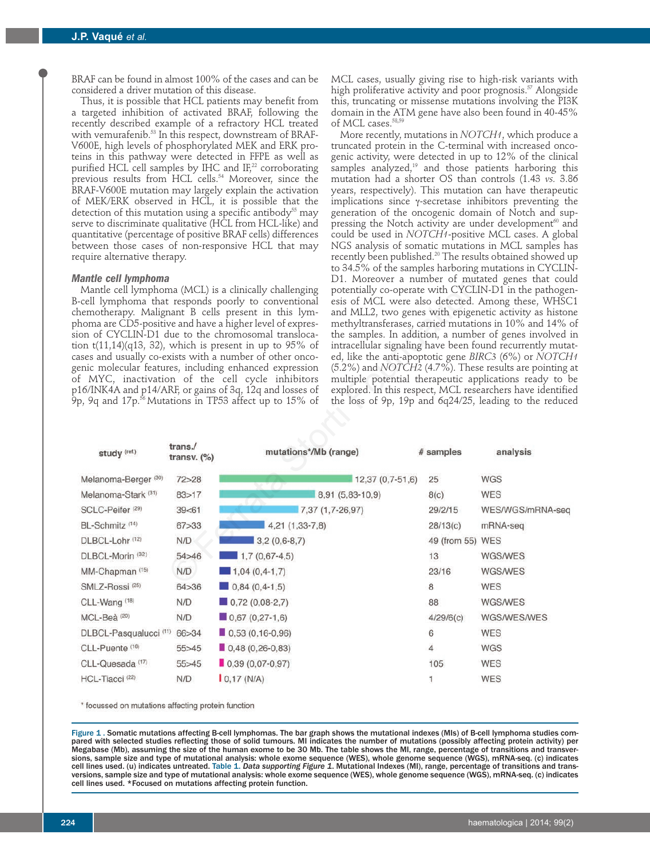BRAF can be found in almost 100% of the cases and can be considered a driver mutation of this disease.

Thus, it is possible that HCL patients may benefit from a targeted inhibition of activated BRAF, following the recently described example of a refractory HCL treated with vemurafenib.<sup>53</sup> In this respect, downstream of BRAF-V600E, high levels of phosphorylated MEK and ERK proteins in this pathway were detected in FFPE as well as purified HCL cell samples by IHC and  $IF<sub>22</sub>$  corroborating previous results from HCL cells.<sup>54</sup> Moreover, since the BRAF-V600E mutation may largely explain the activation of MEK/ERK observed in HCL, it is possible that the detection of this mutation using a specific antibody $55$  may serve to discriminate qualitative (HCL from HCL-like) and quantitative (percentage of positive BRAF cells) differences between those cases of non-responsive HCL that may require alternative therapy.

#### *Mantle cell lymphoma*

MCL cases, usually giving rise to high-risk variants with high proliferative activity and poor prognosis.<sup>57</sup> Alongside this, truncating or missense mutations involving the PI3K domain in the ATM gene have also been found in 40-45% of MCL cases.<sup>58,59</sup>

More recently, mutations in *NOTCH1*, which produce a truncated protein in the C-terminal with increased oncogenic activity, were detected in up to 12% of the clinical samples analyzed,<sup>19</sup> and those patients harboring this mutation had a shorter OS than controls (1.43 *vs.* 3.86 years, respectively). This mutation can have therapeutic implications since γ-secretase inhibitors preventing the generation of the oncogenic domain of Notch and suppressing the Notch activity are under development<sup>60</sup> and could be used in *NOTCH1*-positive MCL cases. A global NGS analysis of somatic mutations in MCL samples has recently been published.20 The results obtained showed up to 34.5% of the samples harboring mutations in CYCLIN-D1. Moreover a number of mutated genes that could potentially co-operate with CYCLIN-D1 in the pathogenesis of MCL were also detected. Among these, WHSC1 and MLL2, two genes with epigenetic activity as histone methyltransferases, carried mutations in 10% and 14% of the samples. In addition, a number of genes involved in intracellular signaling have been found recurrently mutated, like the anti-apoptotic gene *BIRC3* (6%) or *NOTCH1* (5.2%) and *NOTCH2* (4.7%). These results are pointing at multiple potential therapeutic applications ready to be explored. In this respect, MCL researchers have identified the loss of 9p, 19p and 6q24/25, leading to the reduced

| ianue cen iyinphonia              |                          | Mantle cell lymphoma (MCL) is a clinically challenging<br>-cell lymphoma that responds poorly to conventional<br>hemotherapy. Malignant B cells present in this lym-<br>homa are CD5-positive and have a higher level of expres-<br>ion of CYCLIN-D1 due to the chromosomal transloca-<br>ion $t(11,14)(q13, 32)$ , which is present in up to $95\%$ of<br>ases and usually co-exists with a number of other onco-<br>enic molecular features, including enhanced expression<br>f MYC, inactivation of the cell cycle inhibitors<br>16/INK4A and p14/ARF, or gains of 3q, 12q and losses of<br>p, 9q and 17p. <sup>56</sup> Mutations in TP53 affect up to 15% of |                   |                  | DT. Moreover a number or mutated genes that coul<br>potentially co-operate with CYCLIN-D1 in the pathoger<br>esis of MCL were also detected. Among these, WHSC<br>and MLL2, two genes with epigenetic activity as histon<br>methyltransferases, carried mutations in 10% and 14% of<br>the samples. In addition, a number of genes involved i<br>intracellular signaling have been found recurrently muta<br>ed, like the anti-apoptotic gene BIRC3 (6%) or NOTCH<br>$(5.2\%)$ and NOTCH2 (4.7%). These results are pointing a<br>multiple potential therapeutic applications ready to b<br>explored. In this respect, MCL researchers have identifie<br>the loss of 9p, 19p and 6q24/25, leading to the reduce |
|-----------------------------------|--------------------------|-------------------------------------------------------------------------------------------------------------------------------------------------------------------------------------------------------------------------------------------------------------------------------------------------------------------------------------------------------------------------------------------------------------------------------------------------------------------------------------------------------------------------------------------------------------------------------------------------------------------------------------------------------------------|-------------------|------------------|-----------------------------------------------------------------------------------------------------------------------------------------------------------------------------------------------------------------------------------------------------------------------------------------------------------------------------------------------------------------------------------------------------------------------------------------------------------------------------------------------------------------------------------------------------------------------------------------------------------------------------------------------------------------------------------------------------------------|
| study (ref.)                      | trans./<br>transv. $(%)$ | mutations*/Mb (range)                                                                                                                                                                                                                                                                                                                                                                                                                                                                                                                                                                                                                                             |                   | # samples        | analysis                                                                                                                                                                                                                                                                                                                                                                                                                                                                                                                                                                                                                                                                                                        |
| Melanoma-Berger <sup>(30)</sup>   | 72 > 28                  |                                                                                                                                                                                                                                                                                                                                                                                                                                                                                                                                                                                                                                                                   | $12,37(0,7-51,6)$ | 25               | WGS                                                                                                                                                                                                                                                                                                                                                                                                                                                                                                                                                                                                                                                                                                             |
| Melanoma-Stark <sup>(31)</sup>    | 83 > 17                  |                                                                                                                                                                                                                                                                                                                                                                                                                                                                                                                                                                                                                                                                   | 8,91 (5,83-10,9)  | 8(c)             | WES                                                                                                                                                                                                                                                                                                                                                                                                                                                                                                                                                                                                                                                                                                             |
| SCLC-Peifer <sup>(29)</sup>       | 39<61                    |                                                                                                                                                                                                                                                                                                                                                                                                                                                                                                                                                                                                                                                                   | 7,37 (1,7-26,97)  | 29/2/15          | WES/WGS/mRNA-sea                                                                                                                                                                                                                                                                                                                                                                                                                                                                                                                                                                                                                                                                                                |
| BL-Schmitz <sup>(14)</sup>        | 67 > 33                  | $4,21$ $(1,33-7,8)$                                                                                                                                                                                                                                                                                                                                                                                                                                                                                                                                                                                                                                               |                   | 28/13(c)         | mRNA-seq                                                                                                                                                                                                                                                                                                                                                                                                                                                                                                                                                                                                                                                                                                        |
| DLBCL-Lohr (12)                   | N/D                      | $3,2(0,6-8,7)$                                                                                                                                                                                                                                                                                                                                                                                                                                                                                                                                                                                                                                                    |                   | 49 (from 55) WES |                                                                                                                                                                                                                                                                                                                                                                                                                                                                                                                                                                                                                                                                                                                 |
| DLBCL-Morin (32)                  | 54 > 46                  | $1,7(0,67-4,5)$                                                                                                                                                                                                                                                                                                                                                                                                                                                                                                                                                                                                                                                   |                   | 13               | WGS/WES                                                                                                                                                                                                                                                                                                                                                                                                                                                                                                                                                                                                                                                                                                         |
| MM-Chapman <sup>(15)</sup>        | N/D                      | $1,04(0,4-1,7)$                                                                                                                                                                                                                                                                                                                                                                                                                                                                                                                                                                                                                                                   |                   | 23/16            | WGS/WES                                                                                                                                                                                                                                                                                                                                                                                                                                                                                                                                                                                                                                                                                                         |
| SMLZ-Rossi <sup>(25)</sup>        | 64 > 36                  | $\Box$ 0,84 (0,4-1,5)                                                                                                                                                                                                                                                                                                                                                                                                                                                                                                                                                                                                                                             |                   | 8                | WES                                                                                                                                                                                                                                                                                                                                                                                                                                                                                                                                                                                                                                                                                                             |
| CLL-Wang <sup>(18)</sup>          | N/D                      | $\Box$ 0,72 (0,08-2,7)                                                                                                                                                                                                                                                                                                                                                                                                                                                                                                                                                                                                                                            |                   | 88               | WGS/WES                                                                                                                                                                                                                                                                                                                                                                                                                                                                                                                                                                                                                                                                                                         |
| MCL-Beà (20)                      | N/D                      | $\blacksquare$ 0,67 (0,27-1,6)                                                                                                                                                                                                                                                                                                                                                                                                                                                                                                                                                                                                                                    |                   | 4/29/6(c)        | WGS/WES/WES                                                                                                                                                                                                                                                                                                                                                                                                                                                                                                                                                                                                                                                                                                     |
| DLBCL-Pasqualucci <sup>(11)</sup> | 66>34                    | $\Box$ 0,53 (0,16-0,96)                                                                                                                                                                                                                                                                                                                                                                                                                                                                                                                                                                                                                                           |                   | 6                | <b>WES</b>                                                                                                                                                                                                                                                                                                                                                                                                                                                                                                                                                                                                                                                                                                      |
| CLL-Puente <sup>(16)</sup>        | 55 > 45                  | $\blacksquare$ 0,48 (0,26-0,83)                                                                                                                                                                                                                                                                                                                                                                                                                                                                                                                                                                                                                                   |                   | 4                | WGS                                                                                                                                                                                                                                                                                                                                                                                                                                                                                                                                                                                                                                                                                                             |
| CLL-Quesada <sup>(17)</sup>       | 55 > 45                  | $\bullet$ 0,39 (0,07-0,97)                                                                                                                                                                                                                                                                                                                                                                                                                                                                                                                                                                                                                                        |                   | 105              | WES                                                                                                                                                                                                                                                                                                                                                                                                                                                                                                                                                                                                                                                                                                             |
| HCL-Tiacci <sup>(22)</sup>        | N/D                      | O,17(N/A)                                                                                                                                                                                                                                                                                                                                                                                                                                                                                                                                                                                                                                                         |                   | Ť                | <b>WES</b>                                                                                                                                                                                                                                                                                                                                                                                                                                                                                                                                                                                                                                                                                                      |

\* focussed on mutations affecting protein function

Figure 1 . Somatic mutations affecting B-cell lymphomas. The bar graph shows the mutational indexes (MIs) of B-cell lymphoma studies compared with selected studies reflecting those of solid tumours. MI indicates the number of mutations (possibly affecting protein activity) per Megabase (Mb), assuming the size of the human exome to be 30 Mb. The table shows the MI, range, percentage of transitions and transversions, sample size and type of mutational analysis: whole exome sequence (WES), whole genome sequence (WGS), mRNA-seq. (c) indicates cell lines used. (u) indicates untreated. Table 1. *Data supporting Figure 1*. Mutational Indexes (MI), range, percentage of transitions and transversions, sample size and type of mutational analysis: whole exome sequence (WES), whole genome sequence (WGS), mRNA-seq. (c) indicates cell lines used. \*Focused on mutations affecting protein function.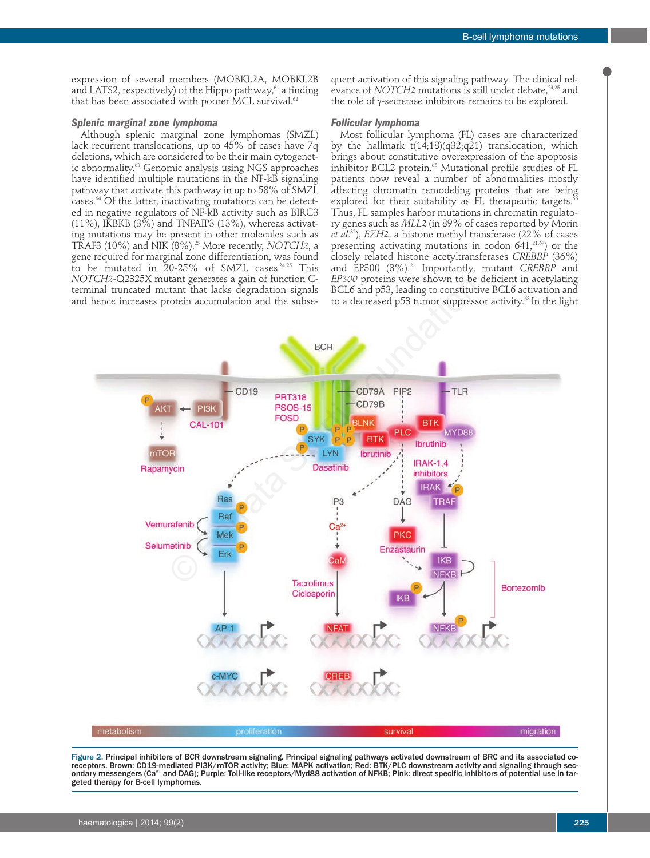expression of several members (MOBKL2A, MOBKL2B and LATS2, respectively) of the Hippo pathway, $61$  a finding that has been associated with poorer MCL survival.<sup>62</sup>

#### *Splenic marginal zone lymphoma*

Although splenic marginal zone lymphomas (SMZL) lack recurrent translocations, up to 45% of cases have 7q deletions, which are considered to be their main cytogenetic abnormality.<sup>63</sup> Genomic analysis using NGS approaches have identified multiple mutations in the NF-kB signaling pathway that activate this pathway in up to 58% of SMZL cases.64 Of the latter, inactivating mutations can be detected in negative regulators of NF-kB activity such as BIRC3 (11%), IKBKB (3%) and TNFAIP3 (13%), whereas activating mutations may be present in other molecules such as TRAF3 (10%) and NIK (8%).25 More recently, *NOTCH2*, a gene required for marginal zone differentiation, was found to be mutated in  $20-25%$  of SMZL cases<sup>24,25</sup> This *NOTCH2*-Q2325X mutant generates a gain of function Cterminal truncated mutant that lacks degradation signals and hence increases protein accumulation and the subse-

quent activation of this signaling pathway. The clinical relevance of *NOTCH2* mutations is still under debate,<sup>24,25</sup> and the role of γ-secretase inhibitors remains to be explored.

#### *Follicular lymphoma*

Most follicular lymphoma (FL) cases are characterized by the hallmark t(14;18)(q32;q21) translocation, which brings about constitutive overexpression of the apoptosis inhibitor BCL2 protein.<sup>65</sup> Mutational profile studies of FL patients now reveal a number of abnormalities mostly affecting chromatin remodeling proteins that are being explored for their suitability as FL therapeutic targets.<sup>66</sup> Thus, FL samples harbor mutations in chromatin regulatory genes such as *MLL2* (in 89% of cases reported by Morin *et al*. 32), *EZH2*, a histone methyl transferase (22% of cases presenting activating mutations in codon  $641, ^{21, 67}$ ) or the closely related histone acetyltransferases *CREBBP* (36%) and EP300 (8%).21 Importantly, mutant *CREBBP* and *EP300* proteins were shown to be deficient in acetylating BCL6 and p53, leading to constitutive BCL6 activation and to a decreased p53 tumor suppressor activity.<sup>68</sup> In the light



Figure 2. Principal inhibitors of BCR downstream signaling. Principal signaling pathways activated downstream of BRC and its associated coreceptors. Brown: CD19-mediated PI3K/mTOR activity; Blue: MAPK activation; Red: BTK/PLC downstream activity and signaling through secondary messengers (Ca<sup>2+</sup> and DAG); Purple: Toll-like receptors/Myd88 activation of NFKB; Pink: direct specific inhibitors of potential use in targeted therapy for B-cell lymphomas.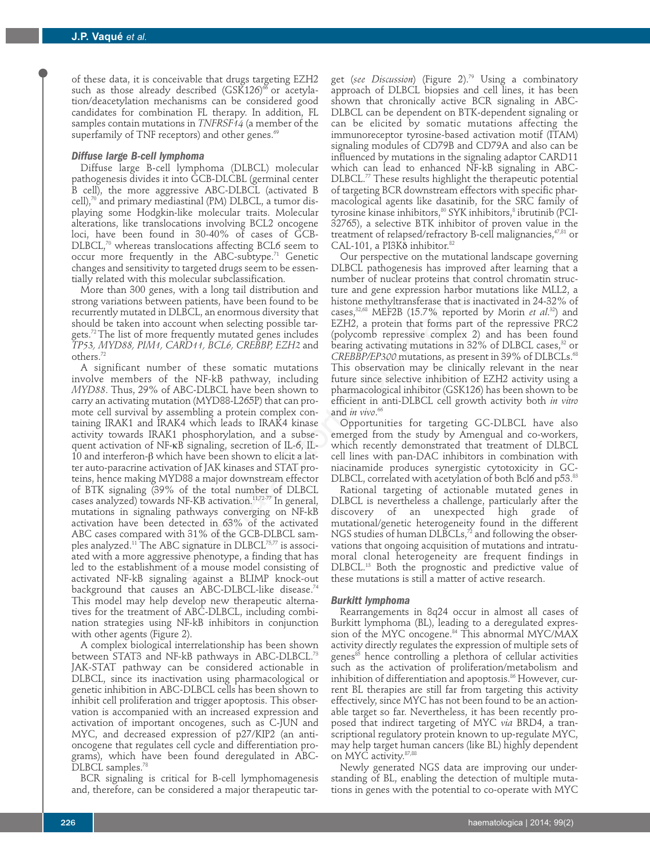of these data, it is conceivable that drugs targeting EZH2 such as those already described  $(GSK126)^{66}$  or acetylation/deacetylation mechanisms can be considered good candidates for combination FL therapy. In addition, FL samples contain mutations in *TNFRSF14* (a member of the superfamily of TNF receptors) and other genes.<sup>69</sup>

#### *Diffuse large B-cell lymphoma*

Diffuse large B-cell lymphoma (DLBCL) molecular pathogenesis divides it into GCB-DLCBL (germinal center B cell), the more aggressive ABC-DLBCL (activated B  $cell$ ,<sup>70</sup> and primary mediastinal (PM) DLBCL, a tumor displaying some Hodgkin-like molecular traits. Molecular alterations, like translocations involving BCL2 oncogene loci, have been found in 30-40% of cases of GCB-DLBCL,<sup>70</sup> whereas translocations affecting BCL6 seem to occur more frequently in the ABC-subtype.<sup>71</sup> Genetic changes and sensitivity to targeted drugs seem to be essentially related with this molecular subclassification.

More than 300 genes, with a long tail distribution and strong variations between patients, have been found to be recurrently mutated in DLBCL, an enormous diversity that should be taken into account when selecting possible targets.72 The list of more frequently mutated genes includes *TP53, MYD88, PIM1, CARD11, BCL6, CREBBP, EZH2* and others.72

A significant number of these somatic mutations involve members of the NF-kB pathway, including *MYD88*. Thus, 29% of ABC-DLBCL have been shown to carry an activating mutation (MYD88-L265P) that can promote cell survival by assembling a protein complex containing IRAK1 and IRAK4 which leads to IRAK4 kinase activity towards IRAK1 phosphorylation, and a subsequent activation of NF-κB signaling, secretion of IL-6, IL-10 and interferon-β which have been shown to elicit a latter auto-paracrine activation of JAK kinases and STAT proteins, hence making MYD88 a major downstream effector of BTK signaling (39% of the total number of DLBCL cases analyzed) towards NF-KB activation.<sup>11,72-77</sup> In general, mutations in signaling pathways converging on NF-kB activation have been detected in 63% of the activated ABC cases compared with 31% of the GCB-DLBCL samples analyzed.<sup>11</sup> The ABC signature in DLBCL<sup>75,77</sup> is associated with a more aggressive phenotype, a finding that has led to the establishment of a mouse model consisting of activated NF-kB signaling against a BLIMP knock-out background that causes an ABC-DLBCL-like disease.<sup>74</sup> This model may help develop new therapeutic alternatives for the treatment of ABC-DLBCL, including combination strategies using NF-kB inhibitors in conjunction with other agents (Figure 2). molecular suocassincation.<br>
molecular suocassincation<br>
molecular suocassincation<br>
experimental at the profession harbor near patients, have been found to be histone methyl<br>transferase that is DLECL, an enormous diversity

A complex biological interrelationship has been shown between STAT3 and NF-kB pathways in ABC-DLBCL.<sup>73</sup> JAK-STAT pathway can be considered actionable in DLBCL, since its inactivation using pharmacological or genetic inhibition in ABC-DLBCL cells has been shown to inhibit cell proliferation and trigger apoptosis. This observation is accompanied with an increased expression and activation of important oncogenes, such as C-JUN and MYC, and decreased expression of p27/KIP2 (an antioncogene that regulates cell cycle and differentiation programs), which have been found deregulated in ABC-DLBCL samples.<sup>78</sup>

BCR signaling is critical for B-cell lymphomagenesis and, therefore, can be considered a major therapeutic target (*see Discussion*) (Figure 2).79 Using a combinatory approach of DLBCL biopsies and cell lines, it has been shown that chronically active BCR signaling in ABC-DLBCL can be dependent on BTK-dependent signaling or can be elicited by somatic mutations affecting the immunoreceptor tyrosine-based activation motif (ITAM) signaling modules of CD79B and CD79A and also can be influenced by mutations in the signaling adaptor CARD11 which can lead to enhanced NF-kB signaling in ABC-DLBCL.<sup>77</sup> These results highlight the therapeutic potential of targeting BCR downstream effectors with specific pharmacological agents like dasatinib, for the SRC family of tyrosine kinase inhibitors,<sup>80</sup> SYK inhibitors,<sup>8</sup> ibrutinib (PCI-32765), a selective BTK inhibitor of proven value in the treatment of relapsed/refractory B-cell malignancies, $47,81$  or CAL-101, a PI3K $\delta$  inhibitor.<sup>82</sup>

Our perspective on the mutational landscape governing DLBCL pathogenesis has improved after learning that a number of nuclear proteins that control chromatin structure and gene expression harbor mutations like MLL2, a histone methyltransferase that is inactivated in 24-32% of cases,32,68 MEF2B (15.7% reported by Morin *et al*. 32) and EZH2, a protein that forms part of the repressive PRC2 (polycomb repressive complex 2) and has been found bearing activating mutations in 32% of DLBCL cases,<sup>32</sup> or *CREBBP/EP300* mutations, as present in 39% of DLBCLs.<sup>68</sup> This observation may be clinically relevant in the near future since selective inhibition of EZH2 activity using a pharmacological inhibitor (GSK126) has been shown to be efficient in anti-DLBCL cell growth activity both *in vitro* and *in vivo*. 66

Opportunities for targeting GC-DLBCL have also emerged from the study by Amengual and co-workers, which recently demonstrated that treatment of DLBCL cell lines with pan-DAC inhibitors in combination with niacinamide produces synergistic cytotoxicity in GC-DLBCL, correlated with acetylation of both Bcl6 and p53.83

Rational targeting of actionable mutated genes in DLBCL is nevertheless a challenge, particularly after the discovery of an unexpected high grade of mutational/genetic heterogeneity found in the different NGS studies of human DLBCLs,<sup>72</sup> and following the observations that ongoing acquisition of mutations and intratumoral clonal heterogeneity are frequent findings in DLBCL.13 Both the prognostic and predictive value of these mutations is still a matter of active research.

## *Burkitt lymphoma*

Rearrangements in 8q24 occur in almost all cases of Burkitt lymphoma (BL), leading to a deregulated expression of the MYC oncogene.<sup>84</sup> This abnormal MYC/MAX activity directly regulates the expression of multiple sets of genes<sup>85</sup> hence controlling a plethora of cellular activities such as the activation of proliferation/metabolism and inhibition of differentiation and apoptosis.<sup>86</sup> However, current BL therapies are still far from targeting this activity effectively, since MYC has not been found to be an actionable target so far. Nevertheless, it has been recently proposed that indirect targeting of MYC *via* BRD4, a transcriptional regulatory protein known to up-regulate MYC, may help target human cancers (like BL) highly dependent on MYC activity.<sup>87,88</sup>

Newly generated NGS data are improving our understanding of BL, enabling the detection of multiple mutations in genes with the potential to co-operate with MYC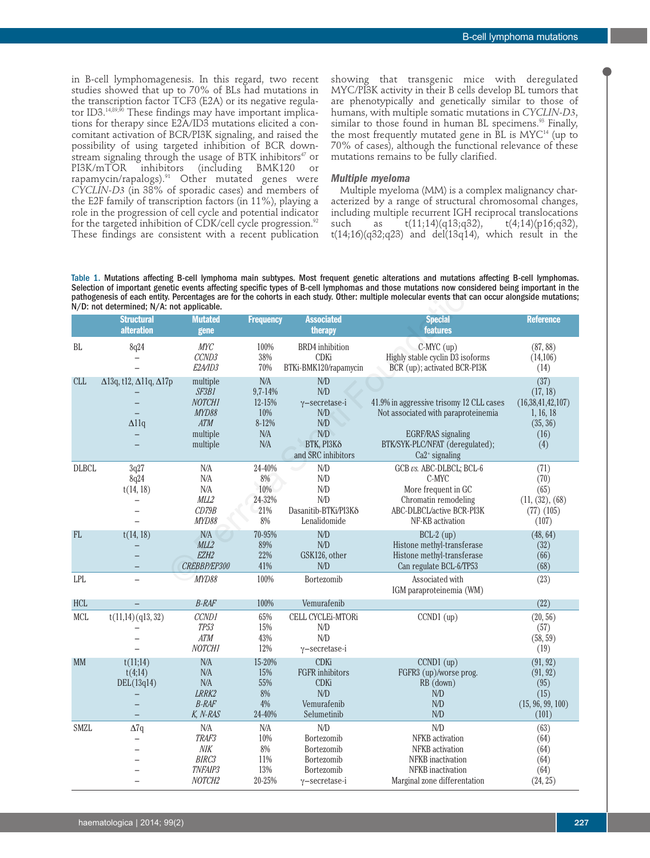in B-cell lymphomagenesis. In this regard, two recent studies showed that up to 70% of BLs had mutations in the transcription factor TCF3 (E2A) or its negative regulator ID3.<sup>14,89,90</sup> These findings may have important implications for therapy since E2A/ID3 mutations elicited a concomitant activation of BCR/PI3K signaling, and raised the possibility of using targeted inhibition of BCR downstream signaling through the usage of BTK inhibitors<sup>47</sup> or<br>PI3K/mTOR inhibitors (including BMK120 or  $(including BMK120 or$ rapamycin/rapalogs).<sup>91</sup> Other mutated genes were *CYCLIN-D3* (in 38% of sporadic cases) and members of the E2F family of transcription factors (in 11%), playing a role in the progression of cell cycle and potential indicator for the targeted inhibition of CDK/cell cycle progression.<sup>92</sup> These findings are consistent with a recent publication showing that transgenic mice with deregulated MYC/PI3K activity in their B cells develop BL tumors that are phenotypically and genetically similar to those of humans, with multiple somatic mutations in *CYCLIN-D3*, similar to those found in human BL specimens.<sup>93</sup> Finally, the most frequently mutated gene in  $BL$  is MYC<sup>14</sup> (up to 70% of cases), although the functional relevance of these mutations remains to be fully clarified.

#### *Multiple myeloma*

Multiple myeloma (MM) is a complex malignancy characterized by a range of structural chromosomal changes, including multiple recurrent IGH reciprocal translocations such as t(11;14)(q13;q32), t(4;14)(p16;q32), t(14;16)(q32;q23) and del(13q14), which result in the

Table 1. Mutations affecting B-cell lymphoma main subtypes. Most frequent genetic alterations and mutations affecting B-cell lymphomas. Selection of important genetic events affecting specific types of B-cell lymphomas and those mutations now considered being important in the pathogenesis of each entity. Percentages are for the cohorts in each study. Other: multiple molecular events that can occur alongside mutations; N/D: not determined; N/A: not applicable.

|              | N/D: not determined; N/A: not applicable.                     |                                                                            |                                                        |                                                                                              | нале 1. мисанону анесние в-сен гутрионна тапи subcypes. моѕс педиенс geneuc anerations and mucauons anecung в-сен гутрионная.<br>Selection of important genetic events affecting specific types of B-cell lymphomas and those mutations now considered being important in the<br>pathogenesis of each entity. Percentages are for the cohorts in each study. Other: multiple molecular events that can occur alongside mutations; |                                                                                   |
|--------------|---------------------------------------------------------------|----------------------------------------------------------------------------|--------------------------------------------------------|----------------------------------------------------------------------------------------------|-----------------------------------------------------------------------------------------------------------------------------------------------------------------------------------------------------------------------------------------------------------------------------------------------------------------------------------------------------------------------------------------------------------------------------------|-----------------------------------------------------------------------------------|
|              | <b>Structural</b><br>alteration                               | <b>Mutated</b><br>gene                                                     | <b>Frequency</b>                                       | <b>Associated</b><br>therapy                                                                 | <b>Special</b><br>features                                                                                                                                                                                                                                                                                                                                                                                                        | <b>Reference</b>                                                                  |
| BL           | 8q24                                                          | <b>MYC</b><br>CCND3<br>E2A/ID3                                             | 100%<br>38%<br>70%                                     | <b>BRD4</b> inhibition<br><b>CDKi</b><br>BTKi-BMK120/rapamycin                               | $C-MYC$ (up)<br>Highly stable cyclin D3 isoforms<br>BCR (up); activated BCR-PI3K                                                                                                                                                                                                                                                                                                                                                  | (87, 88)<br>(14,106)<br>(14)                                                      |
| <b>CLL</b>   | $\Delta$ 13q, t12, $\Delta$ 11q, $\Delta$ 17p<br>$\Delta$ llq | multiple<br>SF3B1<br><b>NOTCH1</b><br>MYD88<br>ATM<br>multiple<br>multiple | N/A<br>9,7-14%<br>12-15%<br>10%<br>8-12%<br>N/A<br>N/A | N/D<br>N/D<br>$\gamma$ -secretase-i<br>N/D<br>N/D<br>N/D<br>ВТК, РІЗКО<br>and SRC inhibitors | 41.9% in aggressive trisomy 12 CLL cases<br>Not associated with paraproteinemia<br>EGRF/RAS signaling<br>BTK/SYK-PLC/NFAT (deregulated);<br>$Ca2+$ signaling                                                                                                                                                                                                                                                                      | (37)<br>(17, 18)<br>(16, 38, 41, 42, 107)<br>1, 16, 18<br>(35, 36)<br>(16)<br>(4) |
| <b>DLBCL</b> | 3q27<br>8q24<br>t(14, 18)                                     | N/A<br>N/A<br>N/A<br>MLL2<br>CD79B<br>MYD88                                | 24-40%<br>$8\%$<br>10%<br>24-32%<br>21%<br>8%          | N/D<br>N/D<br>N/D<br>N/D<br>Dasanitib-BTKi/PI3K&<br>Lenalidomide                             | GCB vs. ABC-DLBCL; BCL-6<br>C-MYC<br>More frequent in GC<br>Chromatin remodeling<br>ABC-DLBCL/active BCR-PI3K<br>NF-KB activation                                                                                                                                                                                                                                                                                                 | (71)<br>(70)<br>(65)<br>(11, (32), (68)<br>$(77)$ $(105)$<br>(107)                |
| FL           | t(14, 18)                                                     | N/A<br>MLL <sub>2</sub><br>EZH <sub>2</sub><br>CREBBP/EP300                | 70-95%<br>89%<br>22%<br>41%                            | N/D<br>N/D<br>GSK126, other<br>N/D                                                           | $BCL-2$ (up)<br>Histone methyl-transferase<br>Histone methyl-transferase<br>Can regulate BCL-6/TP53                                                                                                                                                                                                                                                                                                                               | (48, 64)<br>(32)<br>(66)<br>(68)                                                  |
| <b>LPL</b>   |                                                               | MYD88                                                                      | 100%                                                   | Bortezomib                                                                                   | Associated with<br>IGM paraproteinemia (WM)                                                                                                                                                                                                                                                                                                                                                                                       | (23)                                                                              |
| <b>HCL</b>   |                                                               | <b>B-RAF</b>                                                               | 100%                                                   | Vemurafenib                                                                                  |                                                                                                                                                                                                                                                                                                                                                                                                                                   | (22)                                                                              |
| <b>MCL</b>   | t(11,14)(q13,32)                                              | CCND1<br>TP53<br><b>ATM</b><br>NOTCH1                                      | 65%<br>15%<br>43%<br>12%                               | CELL CYCLEi-MTORi<br>N/D<br>N/D<br>$\gamma$ -secretase-i                                     | $CCND1$ (up)                                                                                                                                                                                                                                                                                                                                                                                                                      | (20, 56)<br>(57)<br>(58, 59)<br>(19)                                              |
| <b>MM</b>    | t(11;14)<br>t(4;14)<br>DEL(13q14)                             | N/A<br>N/A<br>N/A<br>LRRK2<br><b>B-RAF</b><br>K, N-RAS                     | 15-20%<br>15%<br>55%<br>8%<br>4%<br>24-40%             | <b>CDKi</b><br><b>FGFR</b> inhibitors<br><b>CDKi</b><br>N/D<br>Vemurafenib<br>Selumetinib    | $CCND1$ (up)<br>FGFR3 (up)/worse prog.<br>RB (down)<br>N/D<br>N/D<br>N/D                                                                                                                                                                                                                                                                                                                                                          | (91, 92)<br>(91, 92)<br>(95)<br>(15)<br>(15, 96, 99, 100)<br>(101)                |
| SMZL         | $\Delta 7q$                                                   | N/A<br>TRAF3<br>NIK<br><b>BIRC3</b><br>TNFAIP3<br>NOTCH <sub>2</sub>       | N/A<br>10%<br>8%<br>11%<br>13%<br>20-25%               | N/D<br>Bortezomib<br>Bortezomib<br>Bortezomib<br>Bortezomib<br>γ–secretase-i                 | N/D<br><b>NFKB</b> activation<br><b>NFKB</b> activation<br>NFKB inactivation<br>NFKB inactivation<br>Marginal zone differentation                                                                                                                                                                                                                                                                                                 | (63)<br>(64)<br>(64)<br>(64)<br>(64)<br>(24, 25)                                  |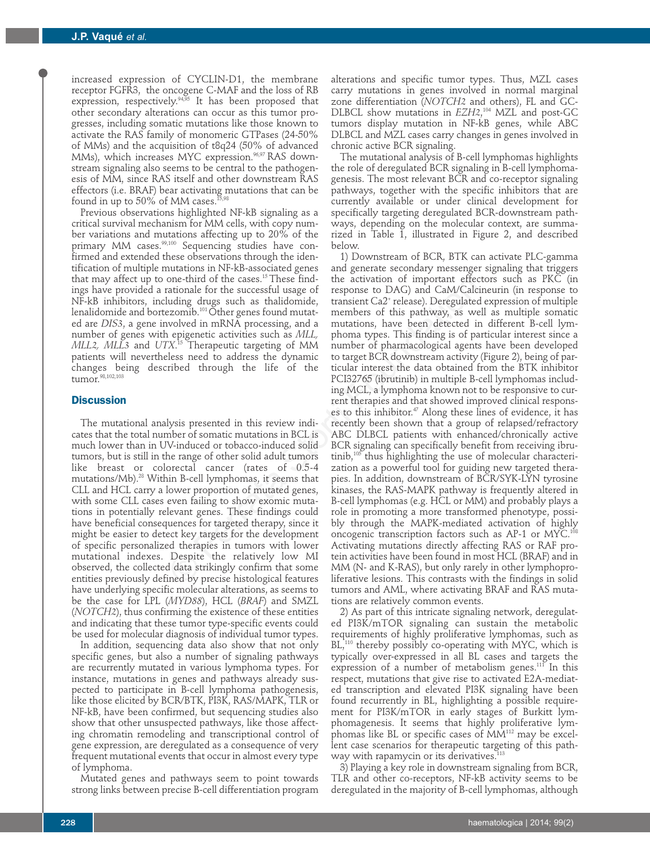increased expression of CYCLIN-D1, the membrane receptor FGFR3, the oncogene C-MAF and the loss of RB expression, respectively.<sup>94,95</sup> It has been proposed that other secondary alterations can occur as this tumor progresses, including somatic mutations like those known to activate the RAS family of monomeric GTPases (24-50% of MMs) and the acquisition of t8q24 (50% of advanced MMs), which increases MYC expression.<sup>96,97</sup> RAS downstream signaling also seems to be central to the pathogenesis of MM, since RAS itself and other downstream RAS effectors (i.e. BRAF) bear activating mutations that can be found in up to 50% of MM cases. $15,98$ 

Previous observations highlighted NF-kB signaling as a critical survival mechanism for MM cells, with copy number variations and mutations affecting up to 20% of the primary MM cases.<sup>99,100</sup> Sequencing studies have confirmed and extended these observations through the identification of multiple mutations in NF-kB-associated genes that may affect up to one-third of the cases.15 These findings have provided a rationale for the successful usage of NF-kB inhibitors, including drugs such as thalidomide, lenalidomide and bortezomib.<sup>101</sup> Other genes found mutated are *DIS3*, a gene involved in mRNA processing, and a number of genes with epigenetic activities such as *MLL, MLL2, MLL3* and *UTX*. <sup>15</sup> Therapeutic targeting of MM patients will nevertheless need to address the dynamic changes being described through the life of the tumor.98,102,103

## **Discussion**

The mutational analysis presented in this review indicates that the total number of somatic mutations in BCL is much lower than in UV-induced or tobacco-induced solid tumors, but is still in the range of other solid adult tumors like breast or colorectal cancer (rates of 0.5-4 mutations/Mb).28 Within B-cell lymphomas, it seems that CLL and HCL carry a lower proportion of mutated genes, with some CLL cases even failing to show exomic mutations in potentially relevant genes. These findings could have beneficial consequences for targeted therapy, since it might be easier to detect key targets for the development of specific personalized therapies in tumors with lower mutational indexes. Despite the relatively low MI observed, the collected data strikingly confirm that some entities previously defined by precise histological features have underlying specific molecular alterations, as seems to be the case for LPL (*MYD88*), HCL (*BRAF*) and SMZL (*NOTCH2*), thus confirming the existence of these entities and indicating that these tumor type-specific events could be used for molecular diagnosis of individual tumor types.

In addition, sequencing data also show that not only specific genes, but also a number of signaling pathways are recurrently mutated in various lymphoma types. For instance, mutations in genes and pathways already suspected to participate in B-cell lymphoma pathogenesis, like those elicited by BCR/BTK, PI3K, RAS/MAPK, TLR or NF-kB, have been confirmed, but sequencing studies also show that other unsuspected pathways, like those affecting chromatin remodeling and transcriptional control of gene expression, are deregulated as a consequence of very frequent mutational events that occur in almost every type of lymphoma.

Mutated genes and pathways seem to point towards strong links between precise B-cell differentiation program alterations and specific tumor types. Thus, MZL cases carry mutations in genes involved in normal marginal zone differentiation (*NOTCH2* and others), FL and GC-DLBCL show mutations in *EZH2*, <sup>104</sup> MZL and post-GC tumors display mutation in NF-kB genes, while ABC DLBCL and MZL cases carry changes in genes involved in chronic active BCR signaling.

The mutational analysis of B-cell lymphomas highlights the role of deregulated BCR signaling in B-cell lymphomagenesis. The most relevant BCR and co-receptor signaling pathways, together with the specific inhibitors that are currently available or under clinical development for specifically targeting deregulated BCR-downstream pathways, depending on the molecular context, are summarized in Table 1, illustrated in Figure 2, and described below.

1) Downstream of BCR, BTK can activate PLC-gamma and generate secondary messenger signaling that triggers the activation of important effectors such as PKC (in response to DAG) and CaM/Calcineurin (in response to transient Ca2+ release). Deregulated expression of multiple members of this pathway, as well as multiple somatic mutations, have been detected in different B-cell lymphoma types. This finding is of particular interest since a number of pharmacological agents have been developed to target BCR downstream activity (Figure 2), being of particular interest the data obtained from the BTK inhibitor PCI32765 (ibrutinib) in multiple B-cell lymphomas including MCL, a lymphoma known not to be responsive to current therapies and that showed improved clinical responses to this inhibitor.<sup>47</sup> Along these lines of evidence, it has recently been shown that a group of relapsed/refractory ABC DLBCL patients with enhanced/chronically active BCR signaling can specifically benefit from receiving ibrutinib,<sup>105</sup> thus highlighting the use of molecular characterization as a powerful tool for guiding new targeted therapies. In addition, downstream of BCR/SYK-LYN tyrosine kinases, the RAS-MAPK pathway is frequently altered in B-cell lymphomas (e.g. HCL or MM) and probably plays a role in promoting a more transformed phenotype, possibly through the MAPK-mediated activation of highly oncogenic transcription factors such as AP-1 or MYC.108 Activating mutations directly affecting RAS or RAF protein activities have been found in most HCL (BRAF) and in MM (N- and K-RAS), but only rarely in other lymphoproliferative lesions. This contrasts with the findings in solid tumors and AML, where activating BRAF and RAS mutations are relatively common events. one-thing or the cases." Inese find-<br>
and can be activation of important effects and the accessful usage of response to DAG) and CaM/Calci<br>
uding drugs such as thalidomide, transient Ca2' release). Deregulate<br>
zeromito.<sup>10</sup>

2) As part of this intricate signaling network, deregulated PI3K/mTOR signaling can sustain the metabolic requirements of highly proliferative lymphomas, such as BL,<sup>110</sup> thereby possibly co-operating with MYC, which is typically over-expressed in all BL cases and targets the expression of a number of metabolism genes.<sup>111</sup> In this respect, mutations that give rise to activated E2A-mediated transcription and elevated PI3K signaling have been found recurrently in BL, highlighting a possible requirement for PI3K/mTOR in early stages of Burkitt lymphomagenesis. It seems that highly proliferative lymphomas like BL or specific cases of MM<sup>112</sup> may be excellent case scenarios for therapeutic targeting of this pathway with rapamycin or its derivatives.<sup>113</sup>

3) Playing a key role in downstream signaling from BCR, TLR and other co-receptors, NF-kB activity seems to be deregulated in the majority of B-cell lymphomas, although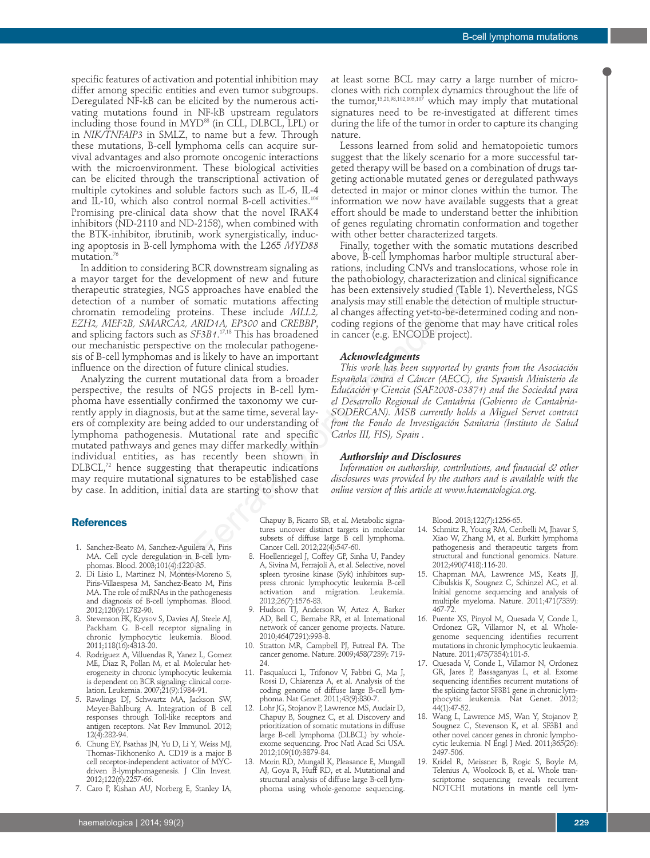specific features of activation and potential inhibition may differ among specific entities and even tumor subgroups. Deregulated NF-kB can be elicited by the numerous activating mutations found in NF-kB upstream regulators including those found in MYD<sup>88</sup> (in CLL, DLBCL, LPL) or in *NIK/TNFAIP3* in SMLZ, to name but a few. Through these mutations, B-cell lymphoma cells can acquire survival advantages and also promote oncogenic interactions with the microenvironment. These biological activities can be elicited through the transcriptional activation of multiple cytokines and soluble factors such as IL-6, IL-4 and IL-10, which also control normal B-cell activities.<sup>106</sup> Promising pre-clinical data show that the novel IRAK4 inhibitors (ND-2110 and ND-2158), when combined with the BTK-inhibitor, ibrutinib, work synergistically, inducing apoptosis in B-cell lymphoma with the L265 *MYD88* mutation.<sup>76</sup>

In addition to considering BCR downstream signaling as a mayor target for the development of new and future therapeutic strategies, NGS approaches have enabled the detection of a number of somatic mutations affecting chromatin remodeling proteins. These include *MLL2, EZH2, MEF2B, SMARCA2, ARID1A, EP300* and *CREBBP*, and splicing factors such as *SF3B1*. 17,18 This has broadened our mechanistic perspective on the molecular pathogenesis of B-cell lymphomas and is likely to have an important influence on the direction of future clinical studies.

Analyzing the current mutational data from a broader perspective, the results of NGS projects in B-cell lymphoma have essentially confirmed the taxonomy we currently apply in diagnosis, but at the same time, several layers of complexity are being added to our understanding of lymphoma pathogenesis. Mutational rate and specific mutated pathways and genes may differ markedly within individual entities, as has recently been shown in DLBCL,<sup>72</sup> hence suggesting that therapeutic indications may require mutational signatures to be established case by case. In addition, initial data are starting to show that e aeveopment or new and tutter the pathonology, characterization<br>
NGS approaches have enabled the has been extensively studied (Table<br>
er of somatic mutations affecting analysis may still enable the detect<br>
er of somatic m

at least some BCL may carry a large number of microclones with rich complex dynamics throughout the life of the tumor,<sup>13,21,98,102,103,107</sup> which may imply that mutational signatures need to be re-investigated at different times during the life of the tumor in order to capture its changing nature.

Lessons learned from solid and hematopoietic tumors suggest that the likely scenario for a more successful targeted therapy will be based on a combination of drugs targeting actionable mutated genes or deregulated pathways detected in major or minor clones within the tumor. The information we now have available suggests that a great effort should be made to understand better the inhibition of genes regulating chromatin conformation and together with other better characterized targets.

Finally, together with the somatic mutations described above, B-cell lymphomas harbor multiple structural aberrations, including CNVs and translocations, whose role in the pathobiology, characterization and clinical significance has been extensively studied (Table 1). Nevertheless, NGS analysis may still enable the detection of multiple structural changes affecting yet-to-be-determined coding and noncoding regions of the genome that may have critical roles in cancer (e.g. ENCODE project).

#### *Acknowledgments*

*This work has been supported by grants from the Asociación Española contra el Cáncer (AECC), the Spanish Ministerio de Educación y Ciencia (SAF2008-03871) and the Sociedad para el Desarrollo Regional de Cantabria (Gobierno de Cantabria-SODERCAN). MSB currently holds a Miguel Servet contract from the Fondo de Investigación Sanitaria (Instituto de Salud Carlos III, FIS), Spain .*

#### *Authorship and Disclosures*

*Information on authorship, contributions, and financial & other disclosures was provided by the authors and is available with the online version of this article at www.haematologica.org.*

#### **References**

- 1. Sanchez-Beato M, Sanchez-Aguilera A, Piris MA. Cell cycle deregulation in B-cell lymphomas. Blood. 2003;101(4):1220-35.
- 2. Di Lisio L, Martinez N, Montes-Moreno S, Piris-Villaespesa M, Sanchez-Beato M, Piris MA. The role of miRNAs in the pathogenesis and diagnosis of B-cell lymphomas. Blood. 2012;120(9):1782-90.
- 3. Stevenson FK, Krysov S, Davies AJ, Steele AJ, Packham G. B-cell receptor signaling in chronic lymphocytic leukemia. Blood. 2011;118(16):4313-20.
- 4. Rodriguez A, Villuendas R, Yanez L, Gomez ME, Diaz R, Pollan M, et al. Molecular heterogeneity in chronic lymphocytic leukemia is dependent on BCR signaling: clinical correlation. Leukemia. 2007;21(9):1984-91.
- 5. Rawlings DJ, Schwartz MA, Jackson SW, Meyer-Bahlburg A. Integration of B cell responses through Toll-like receptors and antigen receptors. Nat Rev Immunol. 2012; 12(4):282-94.
- 6. Chung EY, Psathas JN, Yu D, Li Y, Weiss MJ, Thomas-Tikhonenko A. CD19 is a major B cell receptor-independent activator of MYCdriven B-lymphomagenesis. J Clin Invest. 2012;122(6):2257-66.
- 7. Caro P, Kishan AU, Norberg E, Stanley IA,

Chapuy B, Ficarro SB, et al. Metabolic signatures uncover distinct targets in molecular subsets of diffuse large  $\breve{B}$  cell lymphoma. Cancer Cell. 2012;22(4):547-60.

- 8. Hoellenriegel J, Coffey GP, Sinha U, Pandey A, Sivina M, Ferrajoli A, et al. Selective, novel spleen tyrosine kinase (Syk) inhibitors suppress chronic lymphocytic leukemia B-cell activation and migration. Leukemia. 2012;26(7):1576-83.
- 9. Hudson TJ, Anderson W, Artez A, Barker AD, Bell C, Bernabe RR, et al. International network of cancer genome projects. Nature. 2010;464(7291):993-8.
- 10. Stratton MR, Campbell PJ, Futreal PA. The cancer genome. Nature. 2009;458(7239): 719- 24.
- 11. Pasqualucci L, Trifonov V, Fabbri G, Ma J, Rossi D, Chiarenza A, et al. Analysis of the coding genome of diffuse large B-cell lymphoma. Nat Genet. 2011;43(9):830-7.
- 12. Lohr JG, Stojanov P, Lawrence MS, Auclair D, Chapuy B, Sougnez C, et al. Discovery and prioritization of somatic mutations in diffuse large B-cell lymphoma (DLBCL) by wholeexome sequencing. Proc Natl Acad Sci USA. 2012;109(10):3879-84.
- 13. Morin RD, Mungall K, Pleasance E, Mungall AJ, Goya R, Huff RD, et al. Mutational and structural analysis of diffuse large B-cell lymphoma using whole-genome sequencing.

Blood. 2013;122(7):1256-65.

- 14. Schmitz R, Young RM, Ceribelli M, Jhavar S, Xiao W, Zhang M, et al. Burkitt lymphoma pathogenesis and therapeutic targets from structural and functional genomics. Nature. 2012;490(7418):116-20.
- 15. Chapman MA, Lawrence MS, Keats JJ, Cibulskis K, Sougnez C, Schinzel AC, et al. Initial genome sequencing and analysis of multiple myeloma. Nature. 2011;471(7339): 467-72.
- 16. Puente XS, Pinyol M, Quesada V, Conde L, Ordonez GR, Villamor N, et al. Wholegenome sequencing identifies recurrent mutations in chronic lymphocytic leukaemia. Nature. 2011;475(7354):101-5.
- 17. Quesada V, Conde L, Villamor N, Ordonez GR, Jares P, Bassaganyas L, et al. Exome sequencing identifies recurrent mutations of the splicing factor SF3B1 gene in chronic lymphocytic leukemia. Nat Genet. 2012; 44(1):47-52.
- 18. Wang L, Lawrence MS, Wan Y, Stojanov P, Sougnez C, Stevenson K, et al. SF3B1 and other novel cancer genes in chronic lymphocytic leukemia. N Engl J Med. 2011;365(26): 2497-506.
- 19. Kridel R, Meissner B, Rogic S, Boyle M, Telenius A, Woolcock B, et al. Whole transcriptome sequencing reveals recurrent NOTCH1 mutations in mantle cell lym-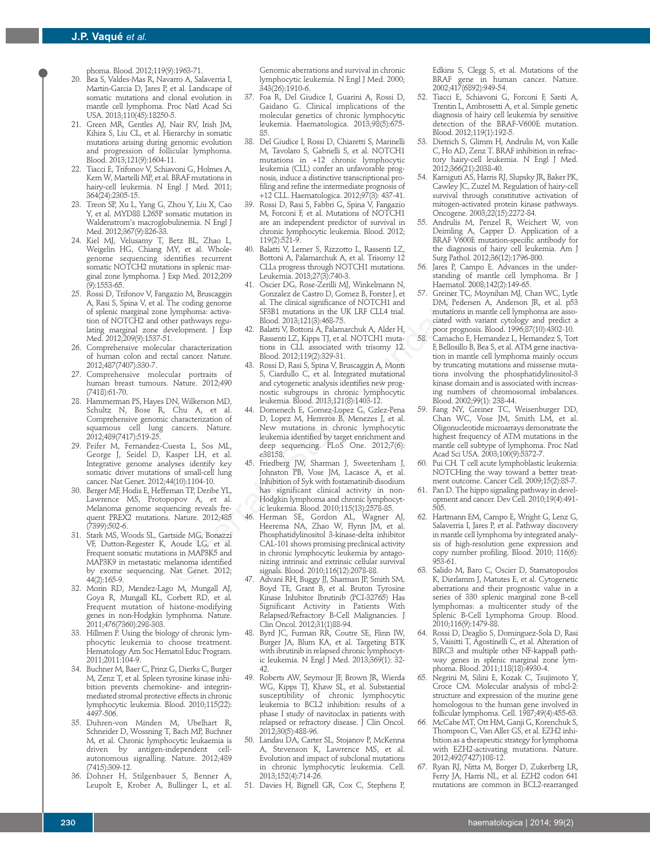**J.P. Vaqué** *et al.*

phoma. Blood. 2012;119(9):1963-71.

- 20. Bea S, Valdes-Mas R, Navarro A, Salaverria I, Martin-Garcia D, Jares P, et al. Landscape of somatic mutations and clonal evolution in mantle cell lymphoma. Proc Natl Acad Sci USA. 2013;110(45):18250-5.
- 21. Green MR, Gentles AJ, Nair RV, Irish JM, Kihira S, Liu CL, et al. Hierarchy in somatic mutations arising during genomic evolution and progression of follicular lymphoma. Blood. 2013;121(9):1604-11.
- 22. Tiacci E, Trifonov V, Schiavoni G, Holmes A, Kern W, Martelli MP, et al. BRAF mutations in hairy-cell leukemia. N Engl J Med. 2011; 364(24):2305-15.
- 23. Treon SP, Xu L, Yang G, Zhou Y, Liu X, Cao Y, et al. MYD88 L265P somatic mutation in Waldenstrom's macroglobulinemia. N Engl J Med. 2012;367(9):826-33.
- 24. Kiel MJ, Velusamy T, Betz BL, Zhao L, Weigelin HG, Chiang MY, et al. Wholegenome sequencing identifies recurrent somatic NOTCH2 mutations in splenic marginal zone lymphoma. J Exp Med. 2012;209 (9):1553-65.
- 25. Rossi D, Trifonov V, Fangazio M, Bruscaggin A, Rasi S, Spina V, et al. The coding genome of splenic marginal zone lymphoma: activation of NOTCH2 and other pathways regulating marginal zone development. J Exp Med. 2012;209(9):1537-51.
- 26. Comprehensive molecular characterization of human colon and rectal cancer. Nature. 2012;487(7407):330-7.
- 27. Comprehensive molecular portraits of human breast tumours. Nature. 2012;490 (7418):61-70.
- 28. Hammerman PS, Hayes DN, Wilkerson MD, Schultz N, Bose R, Chu A, et al. Comprehensive genomic characterization of squamous cell lung cancers. Nature. 2012;489(7417):519-25.
- 29. Peifer M, Fernandez-Cuesta L, Sos ML, George J, Seidel D, Kasper LH, et al. Integrative genome analyses identify key somatic driver mutations of small-cell lung cancer. Nat Genet. 2012;44(10):1104-10.
- 30. Berger MF, Hodis E, Heffernan TP, Deribe YL, Lawrence MS, Protopopov A, et al. Melanoma genome sequencing reveals frequent PREX2 mutations. Nature. 2012;485 .<br>7399):502-6.
- 31. Stark MS, Woods SL, Gartside MG, Bonazzi VF, Dutton-Regester K, Aoude LG, et al. Frequent somatic mutations in MAP3K5 and MAP3K9 in metastatic melanoma identified by exome sequencing. Nat Genet. 2012; 44(2):165-9.
- 32. Morin RD, Mendez-Lago M, Mungall AJ, Goya R, Mungall KL, Corbett RD, et al. Frequent mutation of histone-modifying genes in non-Hodgkin lymphoma. Nature. 2011;476(7360):298-303.
- 33. Hillmen P. Using the biology of chronic lymphocytic leukemia to choose treatment. Hematology Am Soc Hematol Educ Program. 2011;2011:104-9.
- 34. Buchner M, Baer C, Prinz G, Dierks C, Burger M, Zenz T, et al. Spleen tyrosine kinase inhibition prevents chemokine- and integrinmediated stromal protective effects in chronic lymphocytic leukemia. Blood. 2010;115(22): 4497-506.
- 35. Duhren-von Minden M, Ubelhart R, Schneider D, Wossning T, Bach MP, Buchner M, et al. Chronic lymphocytic leukaemia is driven by antigen-independent cellautonomous signalling. Nature. 2012;489 (7415):309-12.
- 36. Dohner H, Stilgenbauer S, Benner A, Leupolt E, Krober A, Bullinger L, et al.

Genomic aberrations and survival in chronic lymphocytic leukemia. N Engl J Med. 2000; 343(26):1910-6.

- 37. Foa R, Del Giudice I, Guarini A, Rossi D, Gaidano G. Clinical implications of the molecular genetics of chronic lymphocytic leukemia. Haematologica. 2013;98(5):675- 85.
- 38. Del Giudice I, Rossi D, Chiaretti S, Marinelli M, Tavolaro S, Gabrielli S, et al. NOTCH1 mutations in +12 chronic lymphocytic leukemia (CLL) confer an unfavorable prognosis, induce a distinctive transcriptional profiling and refine the intermediate prognosis of +12 CLL. Haematologica. 2012;97(3): 437-41.
- 39. Rossi D, Rasi S, Fabbri G, Spina V, Fangazio M, Forconi F, et al. Mutations of NOTCH1 are an independent predictor of survival in chronic lymphocytic leukemia. Blood. 2012; 119(2):521-9.
- 40. Balatti V, Lerner S, Rizzotto L, Rassenti LZ, Bottoni A, Palamarchuk A, et al. Trisomy 12 CLLs progress through NOTCH1 mutations. Leukemia. 2013;27(3):740-3.
- 41. Oscier DG, Rose-Zerilli MJ, Winkelmann N, Gonzalez de Castro D, Gomez B, Forster J, et al. The clinical significance of NOTCH1 and SF3B1 mutations in the UK LRF CLL4 trial. Blood. 2013;121(3):468-75.
- 42. Balatti V, Bottoni A, Palamarchuk A, Alder H, Rassenti LZ, Kipps TJ, et al. NOTCH1 mutations in CLL associated with trisomy 12. Blood. 2012;119(2):329-31.
- 43. Rossi D, Rasi S, Spina V, Bruscaggin A, Monti S, Ciardullo C, et al. Integrated mutational and cytogenetic analysis identifies new prognostic subgroups in chronic lymphocytic leukemia. Blood. 2013;121(8):1403-12.
- 44. Domenech E, Gomez-Lopez G, Gzlez-Pena D, Lopez M, Herreros B, Menezes J, et al. New mutations in chronic lymphocytic leukemia identified by target enrichment and deep sequencing. PLoS One. 2012;7(6): e38158.
- 45. Friedberg JW, Sharman J, Sweetenham J, Johnston PB, Vose JM, Lacasce A, et al. Inhibition of Syk with fostamatinib disodium has significant clinical activity in non-Hodgkin lymphoma and chronic lymphocytic leukemia. Blood. 2010;115(13):2578-85.
- 46. Herman SE, Gordon AL, Wagner AJ, Heerema NA, Zhao W, Flynn JM, et al. Phosphatidylinositol 3-kinase-delta inhibitor CAL-101 shows promising preclinical activity in chronic lymphocytic leukemia by antagonizing intrinsic and extrinsic cellular survival signals. Blood. 2010;116(12):2078-88. Pract, Boster DG, Rose-Zerlil MJ, Winkelmann N, Haematol. 200<br>
PThe coding genome all The dinical significance of NOTCHI and DM, Pedersen CR, Winkelmann active<br>
(Foundation in the UK RF CLL4 trial DM, Pedersen (Foundation
	- 47. Advani RH, Buggy JJ, Sharman JP, Smith SM, Boyd TE, Grant B, et al. Bruton Tyrosine Kinase Inhibitor Ibrutinib (PCI-32765) Has Significant Activity in Patients With Relapsed/Refractory B-Cell Malignancies. J Clin Oncol. 2012;31(1)88-94.
	- 48. Byrd JC, Furman RR, Coutre SE, Flinn IW, Burger JA, Blum KA, et al. Targeting BTK with ibrutinib in relapsed chronic lymphocytic leukemia. N Engl J Med. 2013;369(1): 32- 42.
	- 49. Roberts AW, Seymour JF, Brown JR, Wierda WG, Kipps TJ, Khaw SL, et al. Substantial susceptibility of chronic lymphocytic leukemia to BCL2 inhibition: results of a phase I study of navitoclax in patients with relapsed or refractory disease. J Clin Oncol. 2012;30(5):488-96.
	- Landau DA, Carter SL, Stojanov P, McKenna A, Stevenson K, Lawrence MS, et al. Evolution and impact of subclonal mutations in chronic lymphocytic leukemia. Cell. 2013;152(4):714-26.
	- 51. Davies H, Bignell GR, Cox C, Stephens P,

Edkins S, Clegg S, et al. Mutations of the BRAF gene in human cancer. Nature. 2002;417(6892):949-54.

- 52. Tiacci E, Schiavoni G, Forconi F, Santi A, Trentin L, Ambrosetti A, et al. Simple genetic diagnosis of hairy cell leukemia by sensitive detection of the BRAF-V600E mutation. Blood. 2012;119(1):192-5.
- 53. Dietrich S, Glimm H, Andrulis M, von Kalle C, Ho AD, Zenz T. BRAF inhibition in refractory hairy-cell leukemia. N Engl J Med. 2012;366(21):2038-40.
- 54. Kamiguti AS, Harris RJ, Slupsky JR, Baker PK, Cawley JC, Zuzel M. Regulation of hairy-cell survival through constitutive activation of mitogen-activated protein kinase pathways. Oncogene. 2003;22(15):2272-84.
- 55. Andrulis M, Penzel R, Weichert W, von Deimling A, Capper D. Application of a BRAF V600E mutation-specific antibody for the diagnosis of hairy cell leukemia. Am J Surg Pathol. 2012;36(12):1796-800.
- 56. Jares P, Campo E. Advances in the understanding of mantle cell lymphoma. Br J Haematol. 2008;142(2):149-65.
- 57. Greiner TC, Moynihan MJ, Chan WC, Lytle DM, Pedersen A, Anderson JR, et al. p53 mutations in mantle cell lymphoma are associated with variant cytology and predict a poor prognosis. Blood. 1996;87(10):4302-10.
- 58. Camacho E, Hernandez L, Hernandez S, Tort F, Bellosillo B, Bea S, et al. ATM gene inactivation in mantle cell lymphoma mainly occurs by truncating mutations and missense mutations involving the phosphatidylinositol-3 kinase domain and is associated with increasing numbers of chromosomal imbalances. Blood. 2002;99(1): 238-44.
- Fang NY, Greiner TC, Weisenburger DD, Chan WC, Vose JM, Smith LM, et al. Oligonucleotide microarrays demonstrate the highest frequency of ATM mutations in the mantle cell subtype of lymphoma. Proc Natl Acad Sci USA. 2003;100(9):5372-7.
- 60. Pui CH. T cell acute lymphoblastic leukemia: NOTCHing the way toward a better treatment outcome. Cancer Cell. 2009;15(2):85-7.
- 61. Pan D. The hippo signaling pathway in development and cancer. Dev Cell. 2010;19(4):491- 505.
- 62. Hartmann EM, Campo E, Wright G, Lenz G, Salaverria I, Jares P, et al. Pathway discovery in mantle cell lymphoma by integrated analysis of high-resolution gene expression and copy number profiling. Blood. 2010; 116(6): 953-61.
- 63. Salido M, Baro C, Oscier D, Stamatopoulos K, Dierlamm J, Matutes E, et al. Cytogenetic aberrations and their prognostic value in a series of 330 splenic marginal zone B-cell lymphomas: a multicenter study of the Splenic B-Cell Lymphoma Group. Blood. 2010;116(9):1479-88.
- 64. Rossi D, Deaglio S, Dominguez-Sola D, Rasi S, Vaisitti T, Agostinelli C, et al. Alteration of BIRC3 and multiple other NF-kappaB pathway genes in splenic marginal zone lymphoma. Blood. 2011;118(18):4930-4.
- 65. Negrini M, Silini E, Kozak C, Tsujimoto Y, Croce CM. Molecular analysis of mbcl-2: structure and expression of the murine gene homologous to the human gene involved in follicular lymphoma. Cell. 1987;49(4):455-63.
- 66. McCabe MT, Ott HM, Ganji G, Korenchuk S, Thompson C, Van Aller GS, et al. EZH2 inhibition as a therapeutic strategy for lymphoma with EZH2-activating mutations. Nature. 2012;492(7427)108-12.
- 67. Ryan RJ, Nitta M, Borger D, Zukerberg LR, Ferry JA, Harris NL, et al. EZH2 codon 641 mutations are common in BCL2-rearranged